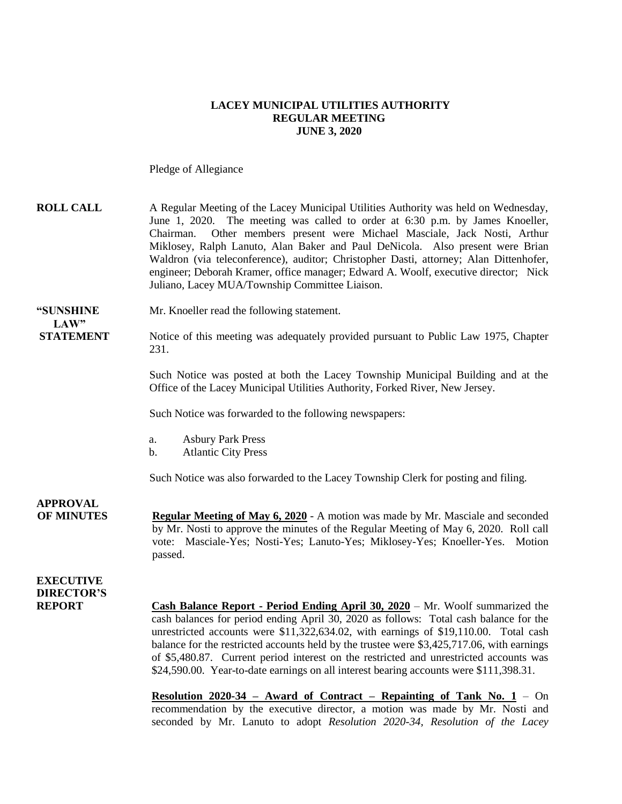#### **LACEY MUNICIPAL UTILITIES AUTHORITY REGULAR MEETING JUNE 3, 2020**

Pledge of Allegiance

| <b>ROLL CALL</b>                                       | A Regular Meeting of the Lacey Municipal Utilities Authority was held on Wednesday,<br>June 1, 2020. The meeting was called to order at 6:30 p.m. by James Knoeller,<br>Other members present were Michael Masciale, Jack Nosti, Arthur<br>Chairman.<br>Miklosey, Ralph Lanuto, Alan Baker and Paul DeNicola. Also present were Brian<br>Waldron (via teleconference), auditor; Christopher Dasti, attorney; Alan Dittenhofer,<br>engineer; Deborah Kramer, office manager; Edward A. Woolf, executive director; Nick<br>Juliano, Lacey MUA/Township Committee Liaison. |
|--------------------------------------------------------|-------------------------------------------------------------------------------------------------------------------------------------------------------------------------------------------------------------------------------------------------------------------------------------------------------------------------------------------------------------------------------------------------------------------------------------------------------------------------------------------------------------------------------------------------------------------------|
| "SUNSHINE<br>LAW"                                      | Mr. Knoeller read the following statement.                                                                                                                                                                                                                                                                                                                                                                                                                                                                                                                              |
| <b>STATEMENT</b>                                       | Notice of this meeting was adequately provided pursuant to Public Law 1975, Chapter<br>231.                                                                                                                                                                                                                                                                                                                                                                                                                                                                             |
|                                                        | Such Notice was posted at both the Lacey Township Municipal Building and at the<br>Office of the Lacey Municipal Utilities Authority, Forked River, New Jersey.                                                                                                                                                                                                                                                                                                                                                                                                         |
|                                                        | Such Notice was forwarded to the following newspapers:                                                                                                                                                                                                                                                                                                                                                                                                                                                                                                                  |
|                                                        | <b>Asbury Park Press</b><br>a.<br><b>Atlantic City Press</b><br>$\mathbf b$ .                                                                                                                                                                                                                                                                                                                                                                                                                                                                                           |
|                                                        | Such Notice was also forwarded to the Lacey Township Clerk for posting and filing.                                                                                                                                                                                                                                                                                                                                                                                                                                                                                      |
| <b>APPROVAL</b><br><b>OF MINUTES</b>                   | <b>Regular Meeting of May 6, 2020</b> - A motion was made by Mr. Masciale and seconded<br>by Mr. Nosti to approve the minutes of the Regular Meeting of May 6, 2020. Roll call<br>vote: Masciale-Yes; Nosti-Yes; Lanuto-Yes; Miklosey-Yes; Knoeller-Yes. Motion<br>passed.                                                                                                                                                                                                                                                                                              |
| <b>EXECUTIVE</b><br><b>DIRECTOR'S</b><br><b>REPORT</b> | <b>Cash Balance Report - Period Ending April 30, 2020</b> – Mr. Woolf summarized the<br>cash balances for period ending April 30, 2020 as follows: Total cash balance for the<br>unrestricted accounts were \$11,322,634.02, with earnings of \$19,110.00. Total cash<br>balance for the restricted accounts held by the trustee were \$3,425,717.06, with earnings<br>of \$5,480.87. Current period interest on the restricted and unrestricted accounts was<br>\$24,590.00. Year-to-date earnings on all interest bearing accounts were \$111,398.31.                 |

**Resolution 2020-34 – Award of Contract – Repainting of Tank No. 1** – On recommendation by the executive director, a motion was made by Mr. Nosti and seconded by Mr. Lanuto to adopt *Resolution 2020-34, Resolution of the Lacey*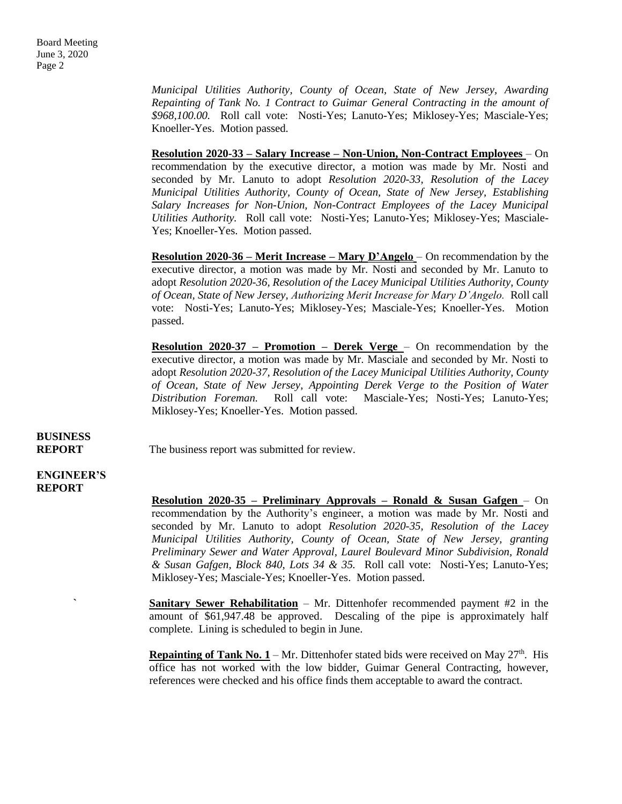*Municipal Utilities Authority, County of Ocean, State of New Jersey, Awarding Repainting of Tank No. 1 Contract to Guimar General Contracting in the amount of \$968,100.00.* Roll call vote: Nosti-Yes; Lanuto-Yes; Miklosey-Yes; Masciale-Yes; Knoeller-Yes. Motion passed.

**Resolution 2020-33 – Salary Increase – Non-Union, Non-Contract Employees** – On recommendation by the executive director, a motion was made by Mr. Nosti and seconded by Mr. Lanuto to adopt *Resolution 2020-33, Resolution of the Lacey Municipal Utilities Authority, County of Ocean, State of New Jersey, Establishing Salary Increases for Non-Union, Non-Contract Employees of the Lacey Municipal Utilities Authority.* Roll call vote: Nosti-Yes; Lanuto-Yes; Miklosey-Yes; Masciale-Yes; Knoeller-Yes. Motion passed.

**Resolution 2020-36 – Merit Increase – Mary D'Angelo** – On recommendation by the executive director, a motion was made by Mr. Nosti and seconded by Mr. Lanuto to adopt *Resolution 2020-36, Resolution of the Lacey Municipal Utilities Authority, County of Ocean, State of New Jersey, Authorizing Merit Increase for Mary D'Angelo.* Roll call vote: Nosti-Yes; Lanuto-Yes; Miklosey-Yes; Masciale-Yes; Knoeller-Yes. Motion passed.

**Resolution 2020-37 – Promotion – Derek Verge** – On recommendation by the executive director, a motion was made by Mr. Masciale and seconded by Mr. Nosti to adopt *Resolution 2020-37, Resolution of the Lacey Municipal Utilities Authority, County of Ocean, State of New Jersey, Appointing Derek Verge to the Position of Water Distribution Foreman.* Roll call vote: Masciale-Yes; Nosti-Yes; Lanuto-Yes; Miklosey-Yes; Knoeller-Yes. Motion passed.

# **BUSINESS**

**REPORT** The business report was submitted for review.

**ENGINEER'S REPORT**

> **Resolution 2020-35 – Preliminary Approvals – Ronald & Susan Gafgen** – On recommendation by the Authority's engineer, a motion was made by Mr. Nosti and seconded by Mr. Lanuto to adopt *Resolution 2020-35, Resolution of the Lacey Municipal Utilities Authority, County of Ocean, State of New Jersey, granting Preliminary Sewer and Water Approval, Laurel Boulevard Minor Subdivision, Ronald & Susan Gafgen, Block 840, Lots 34 & 35.* Roll call vote: Nosti-Yes; Lanuto-Yes; Miklosey-Yes; Masciale-Yes; Knoeller-Yes. Motion passed.

> **Sanitary Sewer Rehabilitation** – Mr. Dittenhofer recommended payment #2 in the amount of \$61,947.48 be approved. Descaling of the pipe is approximately half complete. Lining is scheduled to begin in June.

> **Repainting of Tank No.**  $1 - Mr$ **.** Dittenhofer stated bids were received on May 27<sup>th</sup>. His office has not worked with the low bidder, Guimar General Contracting, however, references were checked and his office finds them acceptable to award the contract.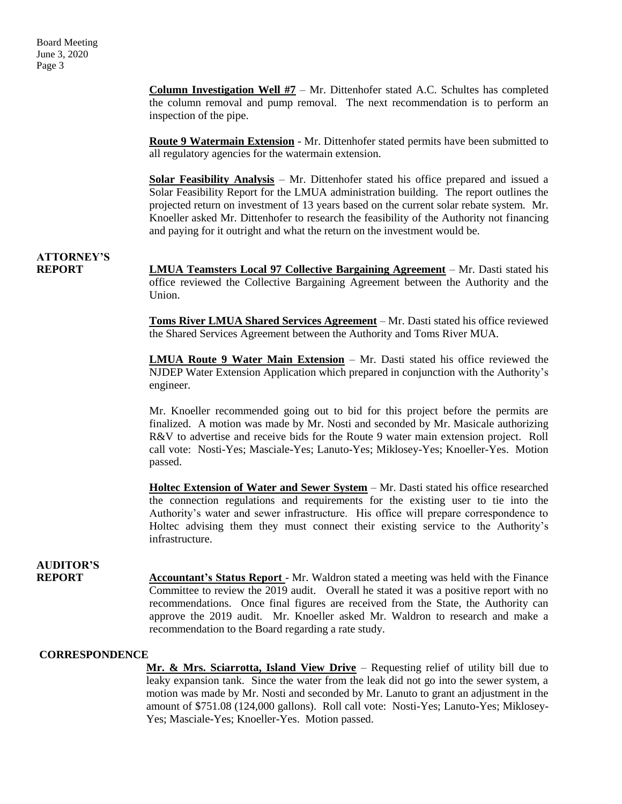**Column Investigation Well #7** – Mr. Dittenhofer stated A.C. Schultes has completed the column removal and pump removal. The next recommendation is to perform an inspection of the pipe.

**Route 9 Watermain Extension** - Mr. Dittenhofer stated permits have been submitted to all regulatory agencies for the watermain extension.

**Solar Feasibility Analysis** – Mr. Dittenhofer stated his office prepared and issued a Solar Feasibility Report for the LMUA administration building. The report outlines the projected return on investment of 13 years based on the current solar rebate system. Mr. Knoeller asked Mr. Dittenhofer to research the feasibility of the Authority not financing and paying for it outright and what the return on the investment would be.

## **ATTORNEY'S**

**REPORT LMUA Teamsters Local 97 Collective Bargaining Agreement** – Mr. Dasti stated his office reviewed the Collective Bargaining Agreement between the Authority and the Union.

> **Toms River LMUA Shared Services Agreement** – Mr. Dasti stated his office reviewed the Shared Services Agreement between the Authority and Toms River MUA.

> **LMUA Route 9 Water Main Extension** – Mr. Dasti stated his office reviewed the NJDEP Water Extension Application which prepared in conjunction with the Authority's engineer.

> Mr. Knoeller recommended going out to bid for this project before the permits are finalized. A motion was made by Mr. Nosti and seconded by Mr. Masicale authorizing R&V to advertise and receive bids for the Route 9 water main extension project. Roll call vote: Nosti-Yes; Masciale-Yes; Lanuto-Yes; Miklosey-Yes; Knoeller-Yes. Motion passed.

> **Holtec Extension of Water and Sewer System** – Mr. Dasti stated his office researched the connection regulations and requirements for the existing user to tie into the Authority's water and sewer infrastructure. His office will prepare correspondence to Holtec advising them they must connect their existing service to the Authority's infrastructure.

### **AUDITOR'S**

**REPORT** Accountant's Status Report - Mr. Waldron stated a meeting was held with the Finance Committee to review the 2019 audit. Overall he stated it was a positive report with no recommendations. Once final figures are received from the State, the Authority can approve the 2019 audit. Mr. Knoeller asked Mr. Waldron to research and make a recommendation to the Board regarding a rate study.

### **CORRESPONDENCE**

**Mr. & Mrs. Sciarrotta, Island View Drive** – Requesting relief of utility bill due to leaky expansion tank. Since the water from the leak did not go into the sewer system, a motion was made by Mr. Nosti and seconded by Mr. Lanuto to grant an adjustment in the amount of \$751.08 (124,000 gallons). Roll call vote: Nosti-Yes; Lanuto-Yes; Miklosey-Yes; Masciale-Yes; Knoeller-Yes. Motion passed.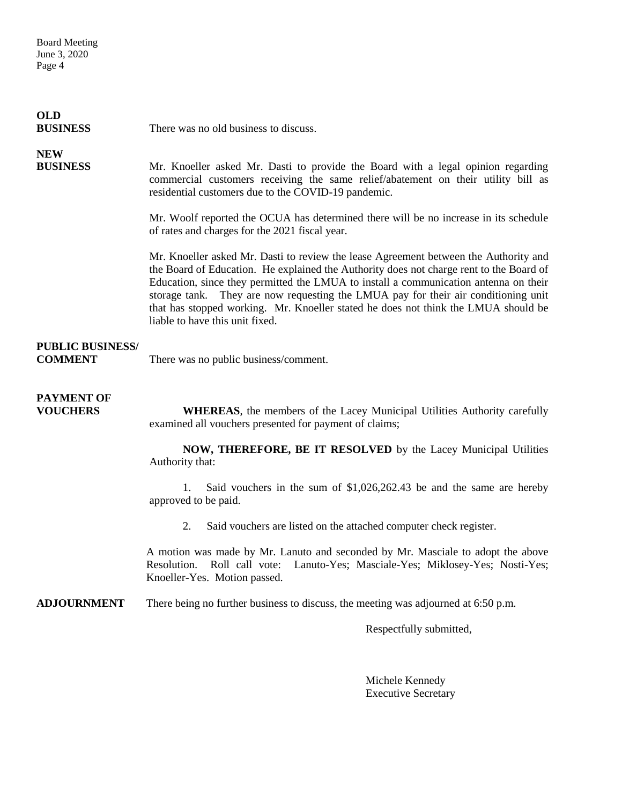Board Meeting June 3, 2020 Page 4

| <b>OLD</b><br><b>BUSINESS</b>             | There was no old business to discuss.                                                                                                                                                                                                                                                                                                                                                                                                                                                  |
|-------------------------------------------|----------------------------------------------------------------------------------------------------------------------------------------------------------------------------------------------------------------------------------------------------------------------------------------------------------------------------------------------------------------------------------------------------------------------------------------------------------------------------------------|
| <b>NEW</b><br><b>BUSINESS</b>             | Mr. Knoeller asked Mr. Dasti to provide the Board with a legal opinion regarding<br>commercial customers receiving the same relief/abatement on their utility bill as<br>residential customers due to the COVID-19 pandemic.                                                                                                                                                                                                                                                           |
|                                           | Mr. Woolf reported the OCUA has determined there will be no increase in its schedule<br>of rates and charges for the 2021 fiscal year.                                                                                                                                                                                                                                                                                                                                                 |
|                                           | Mr. Knoeller asked Mr. Dasti to review the lease Agreement between the Authority and<br>the Board of Education. He explained the Authority does not charge rent to the Board of<br>Education, since they permitted the LMUA to install a communication antenna on their<br>storage tank. They are now requesting the LMUA pay for their air conditioning unit<br>that has stopped working. Mr. Knoeller stated he does not think the LMUA should be<br>liable to have this unit fixed. |
| <b>PUBLIC BUSINESS/</b><br><b>COMMENT</b> | There was no public business/comment.                                                                                                                                                                                                                                                                                                                                                                                                                                                  |
| <b>PAYMENT OF</b><br><b>VOUCHERS</b>      | WHEREAS, the members of the Lacey Municipal Utilities Authority carefully<br>examined all vouchers presented for payment of claims;                                                                                                                                                                                                                                                                                                                                                    |
|                                           | NOW, THEREFORE, BE IT RESOLVED by the Lacey Municipal Utilities<br>Authority that:                                                                                                                                                                                                                                                                                                                                                                                                     |
|                                           | 1.<br>Said vouchers in the sum of $$1,026,262.43$ be and the same are hereby<br>approved to be paid.                                                                                                                                                                                                                                                                                                                                                                                   |
|                                           | 2.<br>Said vouchers are listed on the attached computer check register.                                                                                                                                                                                                                                                                                                                                                                                                                |
|                                           | A motion was made by Mr. Lanuto and seconded by Mr. Masciale to adopt the above<br>Roll call vote: Lanuto-Yes; Masciale-Yes; Miklosey-Yes; Nosti-Yes;<br>Resolution.<br>Knoeller-Yes. Motion passed.                                                                                                                                                                                                                                                                                   |
|                                           |                                                                                                                                                                                                                                                                                                                                                                                                                                                                                        |

**ADJOURNMENT** There being no further business to discuss, the meeting was adjourned at 6:50 p.m.

Respectfully submitted,

Michele Kennedy Executive Secretary